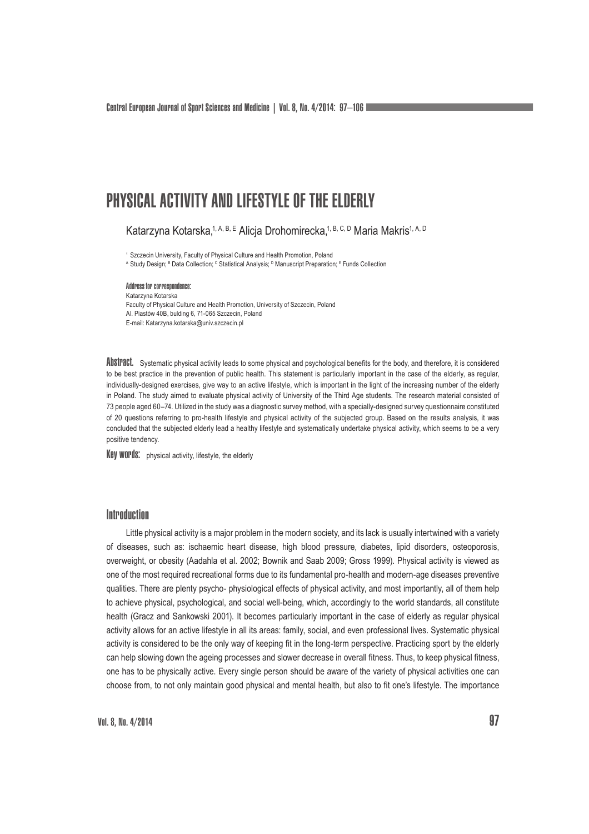Central European Journal of Sport Sciences and Medicine | Vol. 8, No. 4/2014: 97–106

# PHYSICAL ACTIVITY AND LIFESTYLE OF THE ELDERLY

Katarzyna Kotarska,<sup>1, A, B, E</sup> Alicja Drohomirecka,<sup>1, B, C, D</sup> Maria Makris<sup>1, A, D</sup>

<sup>1</sup> Szczecin University, Faculty of Physical Culture and Health Promotion, Poland

A Study Design; <sup>в</sup> Data Collection; <sup>с</sup> Statistical Analysis; <sup>D</sup> Manuscript Preparation; <sup>E</sup> Funds Collection

Address for correspondence: Katarzyna Kotarska Faculty of Physical Culture and Health Promotion, University of Szczecin, Poland Al. Piastów 40B, bulding 6, 71-065 Szczecin, Poland E-mail: Katarzyna.kotarska@univ.szczecin.pl

Abstract. Systematic physical activity leads to some physical and psychological benefits for the body, and therefore, it is considered to be best practice in the prevention of public health. This statement is particularly important in the case of the elderly, as regular, individually-designed exercises, give way to an active lifestyle, which is important in the light of the increasing number of the elderly in Poland. The study aimed to evaluate physical activity of University of the Third Age students. The research material consisted of 73 people aged 60–74. Utilized in the study was a diagnostic survey method, with a specially-designed survey questionnaire constituted of 20 questions referring to pro-health lifestyle and physical activity of the subjected group. Based on the results analysis, it was concluded that the subjected elderly lead a healthy lifestyle and systematically undertake physical activity, which seems to be a very positive tendency.

**Key words:** physical activity, lifestyle, the elderly

### **Introduction**

Little physical activity is a major problem in the modern society, and its lack is usually intertwined with a variety of diseases, such as: ischaemic heart disease, high blood pressure, diabetes, lipid disorders, osteoporosis, overweight, or obesity (Aadahla et al. 2002; Bownik and Saab 2009; Gross 1999). Physical activity is viewed as one of the most required recreational forms due to its fundamental pro-health and modern-age diseases preventive qualities. There are plenty psycho- physiological effects of physical activity, and most importantly, all of them help to achieve physical, psychological, and social well-being, which, accordingly to the world standards, all constitute health (Gracz and Sankowski 2001). It becomes particularly important in the case of elderly as regular physical activity allows for an active lifestyle in all its areas: family, social, and even professional lives. Systematic physical activity is considered to be the only way of keeping fit in the long-term perspective. Practicing sport by the elderly can help slowing down the ageing processes and slower decrease in overall fitness. Thus, to keep physical fitness, one has to be physically active. Every single person should be aware of the variety of physical activities one can choose from, to not only maintain good physical and mental health, but also to fit one's lifestyle. The importance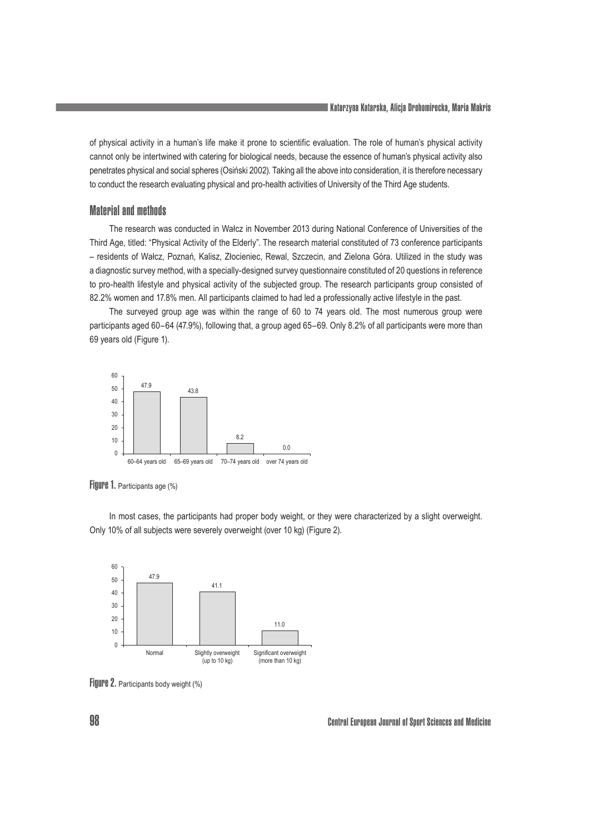of physical activity in a human's life make it prone to scientific evaluation. The role of human's physical activity cannot only be intertwined with catering for biological needs, because the essence of human's physical activity also penetrates physical and social spheres (Osiński 2002). Taking all the above into consideration, it is therefore necessary to conduct the research evaluating physical and pro-health activities of University of the Third Age students.

## Material and methods

The research was conducted in Wałcz in November 2013 during National Conference of Universities of the Third Age, titled: "Physical Activity of the Elderly". The research material constituted of 73 conference participants - residents of Wałcz, Poznań, Kalisz, Złocieniec, Rewal, Szczecin, and Zielona Góra. Utilized in the study was a diagnostic survey method, with a specially-designed survey questionnaire constituted of 20 questions in reference to pro-health lifestyle and physical activity of the subjected group. The research participants group consisted of 82.2% women and 17.8% men. All participants claimed to had led a professionally active lifestyle in the past.

The surveyed group age was within the range of 60 to 74 years old. The most numerous group were participants aged 60–64 (47.9%), following that, a group aged 65–69. Only 8.2% of all participants were more than 69 years old (Figure 1).



Figure 1. Participants age (%)

In most cases, the participants had proper body weight, or they were characterized by a slight overweight. Only 10% of all subjects were severely overweight (over 10 kg) (Figure 2).



Figure 2. Participants body weight (%)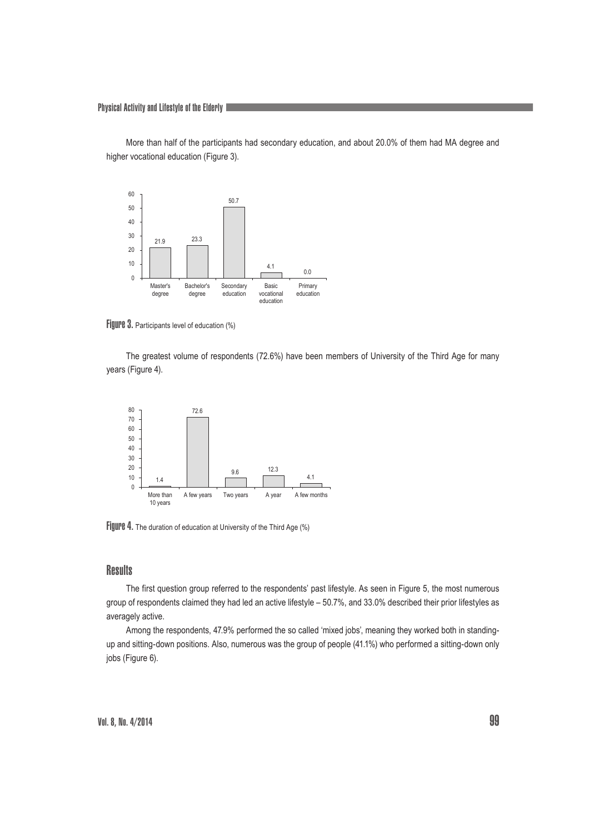Physical Activity and Lifestyle of the Elderly

More than half of the participants had secondary education, and about 20.0% of them had MA degree and higher vocational education (Figure 3).



Figure 3. Participants level of education (%)

The greatest volume of respondents (72.6%) have been members of University of the Third Age for many years (Figure 4).



Figure 4. The duration of education at University of the Third Age (%)

#### **Results**

The first question group referred to the respondents' past lifestyle. As seen in Figure 5, the most numerous group of respondents claimed they had led an active lifestyle – 50.7%, and 33.0% described their prior lifestyles as averagely active.

Among the respondents, 47.9% performed the so called 'mixed jobs', meaning they worked both in standingup and sitting-down positions. Also, numerous was the group of people (41.1%) who performed a sitting-down only jobs (Figure 6).

Vol. 8, No. 4/2014  $99$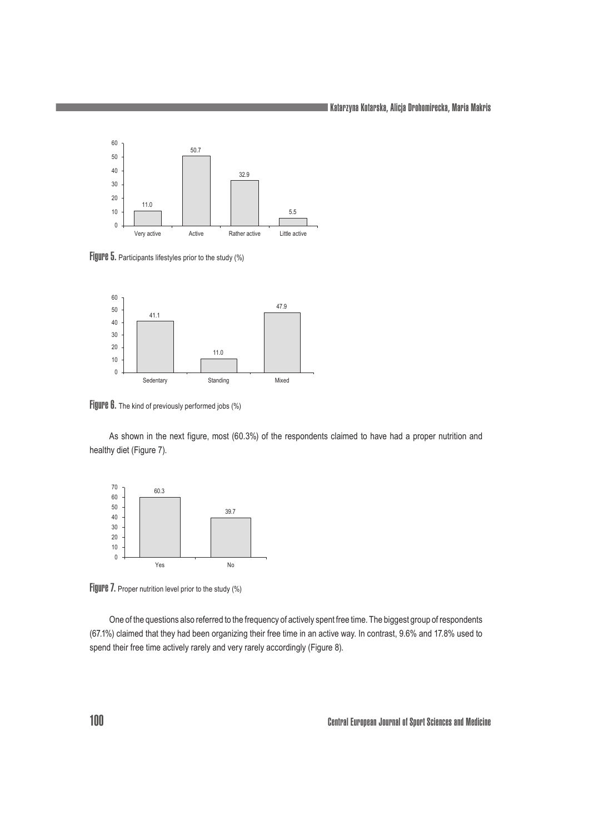Katarzyna Kotarska, Alicja Drohomirecka, Maria Makris



Figure 5. Participants lifestyles prior to the study (%)



Figure 6. The kind of previously performed jobs (%)

As shown in the next figure, most (60.3%) of the respondents claimed to have had a proper nutrition and healthy diet (Figure 7).



Figure 7. Proper nutrition level prior to the study (%)

One of the questions also referred to the frequency of actively spent free time. The biggest group of respondents (67.1%) claimed that they had been organizing their free time in an active way. In contrast, 9.6% and 17.8% used to spend their free time actively rarely and very rarely accordingly (Figure 8).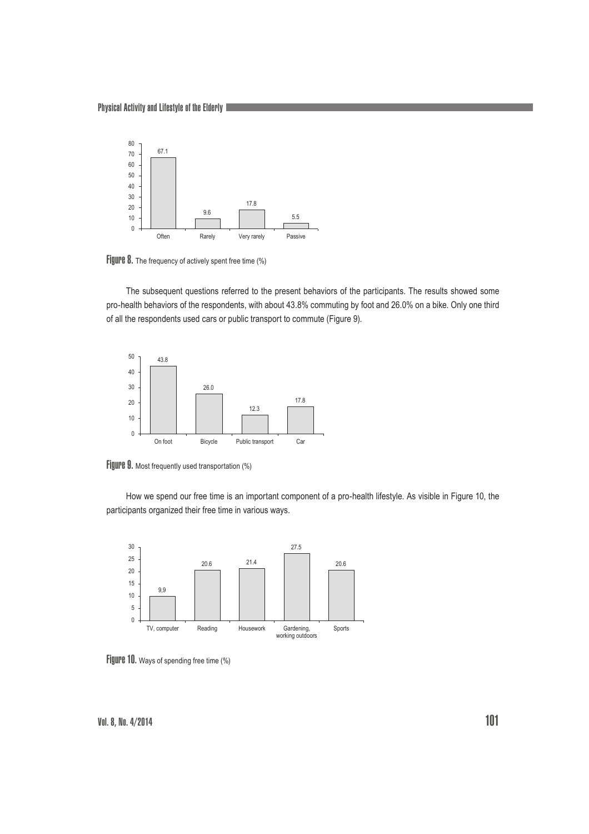Physical Activity and Lifestyle of the Elderly



Figure 8. The frequency of actively spent free time (%)

The subsequent questions referred to the present behaviors of the participants. The results showed some pro-health behaviors of the respondents, with about 43.8% commuting by foot and 26.0% on a bike. Only one third of all the respondents used cars or public transport to commute (Figure 9).



Figure 9. Most frequently used transportation (%)

How we spend our free time is an important component of a pro-health lifestyle. As visible in Figure 10, the participants organized their free time in various ways.



Figure 10. Ways of spending free time (%)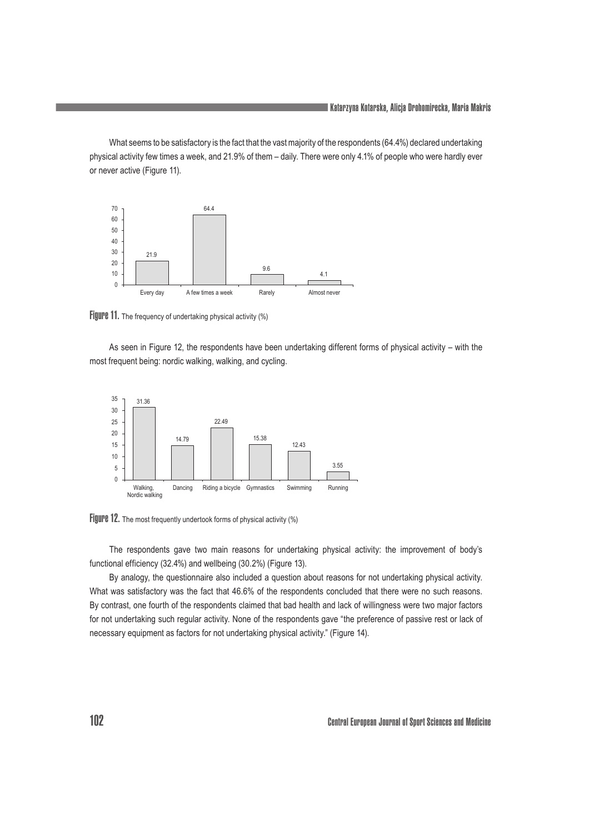What seems to be satisfactory is the fact that the vast majority of the respondents (64.4%) declared undertaking physical activity few times a week, and 21.9% of them – daily. There were only 4.1% of people who were hardly ever or never active (Figure 11).



Figure 11. The frequency of undertaking physical activity (%)

As seen in Figure 12, the respondents have been undertaking different forms of physical activity – with the most frequent being: nordic walking, walking, and cycling.





The respondents gave two main reasons for undertaking physical activity: the improvement of body's functional efficiency (32.4%) and wellbeing (30.2%) (Figure 13).

By analogy, the questionnaire also included a question about reasons for not undertaking physical activity. What was satisfactory was the fact that 46.6% of the respondents concluded that there were no such reasons. By contrast, one fourth of the respondents claimed that bad health and lack of willingness were two major factors for not undertaking such regular activity. None of the respondents gave "the preference of passive rest or lack of necessary equipment as factors for not undertaking physical activity." (Figure 14).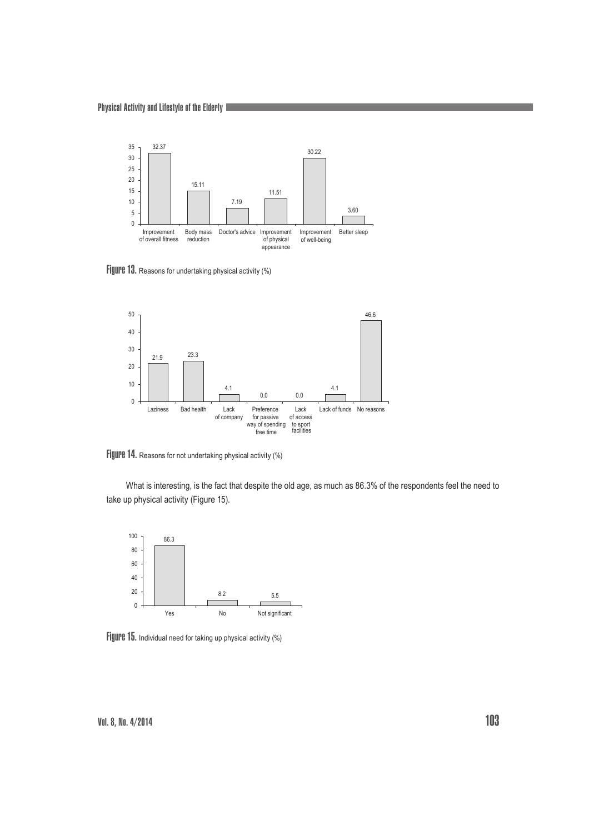

Figure 13. Reasons for undertaking physical activity (%)



Figure 14. Reasons for not undertaking physical activity (%)

What is interesting, is the fact that despite the old age, as much as 86.3% of the respondents feel the need to take up physical activity (Figure 15).



Figure 15. Individual need for taking up physical activity (%)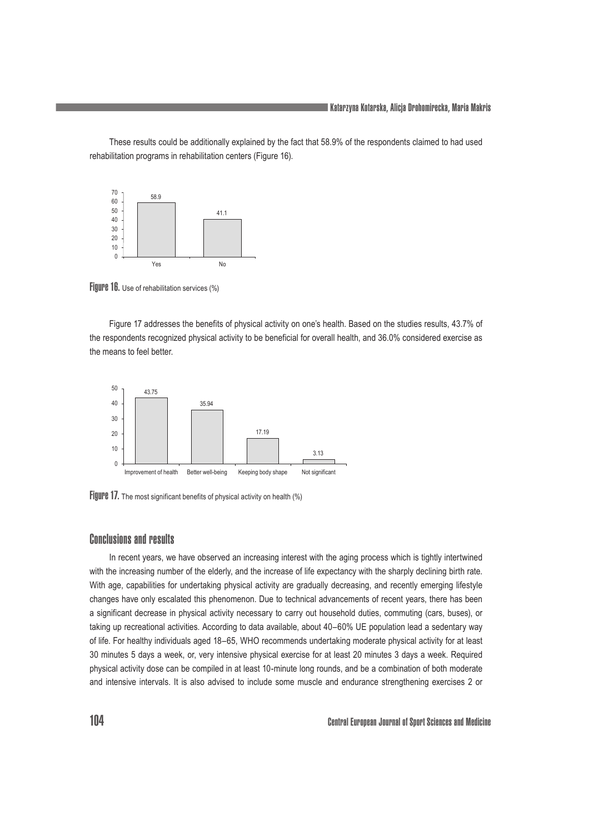These results could be additionally explained by the fact that 58.9% of the respondents claimed to had used rehabilitation programs in rehabilitation centers (Figure 16).



Figure 16. Use of rehabilitation services (%)

Figure 17 addresses the benefits of physical activity on one's health. Based on the studies results, 43.7% of the respondents recognized physical activity to be beneficial for overall health, and 36.0% considered exercise as the means to feel better.



Figure 17. The most significant benefits of physical activity on health (%)

## Conclusions and results

In recent years, we have observed an increasing interest with the aging process which is tightly intertwined with the increasing number of the elderly, and the increase of life expectancy with the sharply declining birth rate. With age, capabilities for undertaking physical activity are gradually decreasing, and recently emerging lifestyle changes have only escalated this phenomenon. Due to technical advancements of recent years, there has been a significant decrease in physical activity necessary to carry out household duties, commuting (cars, buses), or taking up recreational activities. According to data available, about 40–60% UE population lead a sedentary way of life. For healthy individuals aged 18–65, WHO recommends undertaking moderate physical activity for at least 30 minutes 5 days a week, or, very intensive physical exercise for at least 20 minutes 3 days a week. Required physical activity dose can be compiled in at least 10-minute long rounds, and be a combination of both moderate and intensive intervals. It is also advised to include some muscle and endurance strengthening exercises 2 or

104 Central European Journal of Sport Sciences and Medicine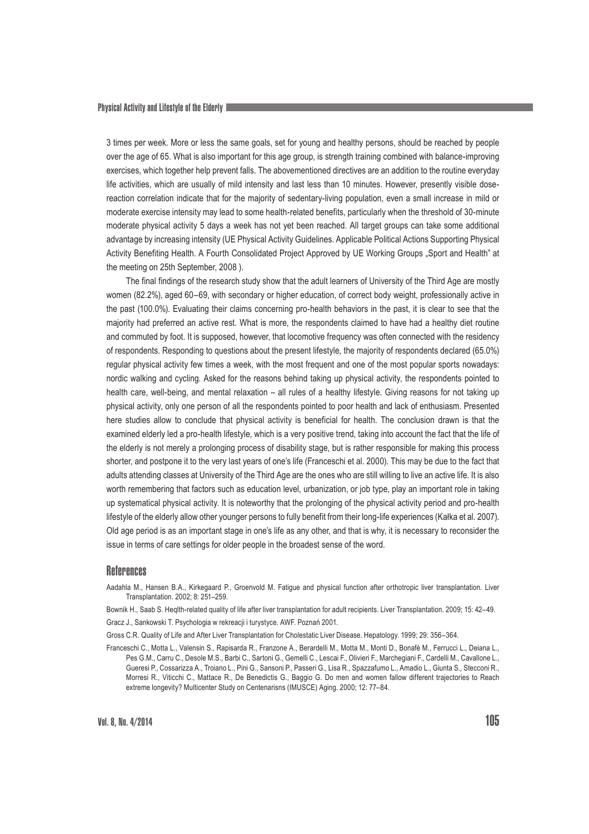3 times per week. More or less the same goals, set for young and healthy persons, should be reached by people over the age of 65. What is also important for this age group, is strength training combined with balance-improving exercises, which together help prevent falls. The abovementioned directives are an addition to the routine everyday life activities, which are usually of mild intensity and last less than 10 minutes. However, presently visible dosereaction correlation indicate that for the majority of sedentary-living population, even a small increase in mild or moderate exercise intensity may lead to some health-related benefits, particularly when the threshold of 30-minute moderate physical activity 5 days a week has not yet been reached. All target groups can take some additional advantage by increasing intensity (UE Physical Activity Guidelines. Applicable Political Actions Supporting Physical Activity Benefiting Health. A Fourth Consolidated Project Approved by UE Working Groups "Sport and Health" at the meeting on 25th September, 2008 ).

The final findings of the research study show that the adult learners of University of the Third Age are mostly women (82.2%), aged 60–69, with secondary or higher education, of correct body weight, professionally active in the past (100.0%). Evaluating their claims concerning pro-health behaviors in the past, it is clear to see that the majority had preferred an active rest. What is more, the respondents claimed to have had a healthy diet routine and commuted by foot. It is supposed, however, that locomotive frequency was often connected with the residency of respondents. Responding to questions about the present lifestyle, the majority of respondents declared (65.0%) regular physical activity few times a week, with the most frequent and one of the most popular sports nowadays: nordic walking and cycling. Asked for the reasons behind taking up physical activity, the respondents pointed to health care, well-being, and mental relaxation – all rules of a healthy lifestyle. Giving reasons for not taking up physical activity, only one person of all the respondents pointed to poor health and lack of enthusiasm. Presented here studies allow to conclude that physical activity is beneficial for health. The conclusion drawn is that the examined elderly led a pro-health lifestyle, which is a very positive trend, taking into account the fact that the life of the elderly is not merely a prolonging process of disability stage, but is rather responsible for making this process shorter, and postpone it to the very last years of one's life (Franceschi et al. 2000). This may be due to the fact that adults attending classes at University of the Third Age are the ones who are still willing to live an active life. It is also worth remembering that factors such as education level, urbanization, or job type, play an important role in taking up systematical physical activity. It is noteworthy that the prolonging of the physical activity period and pro-health lifestyle of the elderly allow other younger persons to fully benefit from their long-life experiences (Kałka et al. 2007). Old age period is as an important stage in one's life as any other, and that is why, it is necessary to reconsider the issue in terms of care settings for older people in the broadest sense of the word.

#### **References**

Aadahla M., Hansen B.A., Kirkegaard P., Groenvold M. Fatigue and physical function after orthotropic liver transplantation. Liver Transplantation. 2002; 8: 251–259.

Bownik H., Saab S. Heqlth-related quality of life after liver transplantation for adult recipients. Liver Transplantation. 2009; 15: 42–49. Gracz J., Sankowski T. Psychologia w rekreacji i turystyce. AWF. Poznań 2001.

Gross C.R. Quality of Life and After Liver Transplantation for Cholestatic Liver Disease. Hepatology. 1999; 29: 356–364.

Franceschi C., Motta L., Valensin S., Rapisarda R., Franzone A., Berardelli M., Motta M., Monti D., Bonafè M., Ferrucci L., Deiana L., Pes G.M., Carru C., Desole M.S., Barbi C., Sartoni G., Gemelli C., Lescai F., Olivieri F., Marchegiani F., Cardelli M., Cavallone L., Gueresi P., Cossarizza A., Troiano L., Pini G., Sansoni P., Passeri G., Lisa R., Spazzafumo L., Amadio L., Giunta S., Stecconi R., Morresi R., Viticchi C., Mattace R., De Benedictis G., Baggio G. Do men and women fallow different trajectories to Reach extreme longevity? Multicenter Study on Centenarisns (IMUSCE) Aging. 2000; 12: 77–84.